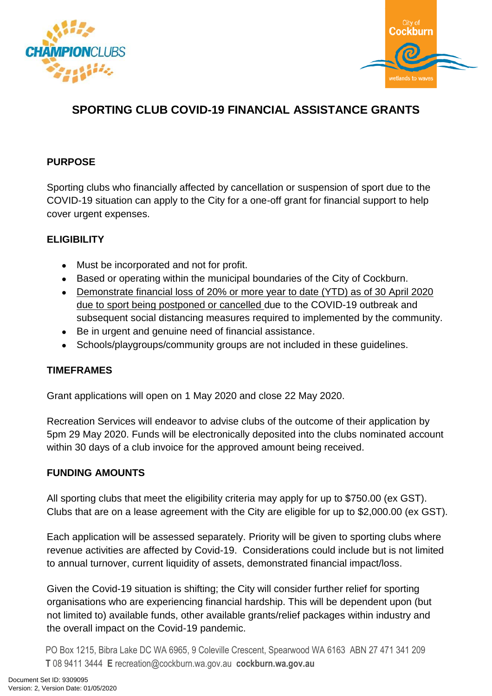



# **SPORTING CLUB COVID-19 FINANCIAL ASSISTANCE GRANTS**

# **PURPOSE**

Sporting clubs who financially affected by cancellation or suspension of sport due to the COVID-19 situation can apply to the City for a one-off grant for financial support to help cover urgent expenses.

## **ELIGIBILITY**

- Must be incorporated and not for profit.
- Based or operating within the municipal boundaries of the City of Cockburn.
- Demonstrate financial loss of 20% or more year to date (YTD) as of 30 April 2020 due to sport being postponed or cancelled due to the COVID-19 outbreak and subsequent social distancing measures required to implemented by the community.
- Be in urgent and genuine need of financial assistance.
- Schools/playgroups/community groups are not included in these guidelines.

## **TIMEFRAMES**

Grant applications will open on 1 May 2020 and close 22 May 2020.

Recreation Services will endeavor to advise clubs of the outcome of their application by 5pm 29 May 2020. Funds will be electronically deposited into the clubs nominated account within 30 days of a club invoice for the approved amount being received.

## **FUNDING AMOUNTS**

All sporting clubs that meet the eligibility criteria may apply for up to \$750.00 (ex GST). Clubs that are on a lease agreement with the City are eligible for up to \$2,000.00 (ex GST).

Each application will be assessed separately. Priority will be given to sporting clubs where revenue activities are affected by Covid-19. Considerations could include but is not limited to annual turnover, current liquidity of assets, demonstrated financial impact/loss.

Given the Covid-19 situation is shifting; the City will consider further relief for sporting organisations who are experiencing financial hardship. This will be dependent upon (but not limited to) available funds, other available grants/relief packages within industry and the overall impact on the Covid-19 pandemic.

PO Box 1215, Bibra Lake DC WA 6965, 9 Coleville Crescent, Spearwood WA 6163 ABN 27 471 341 209 **T** 08 9411 3444 **E** recreation@cockburn.wa.gov.au **cockburn.wa.gov.au**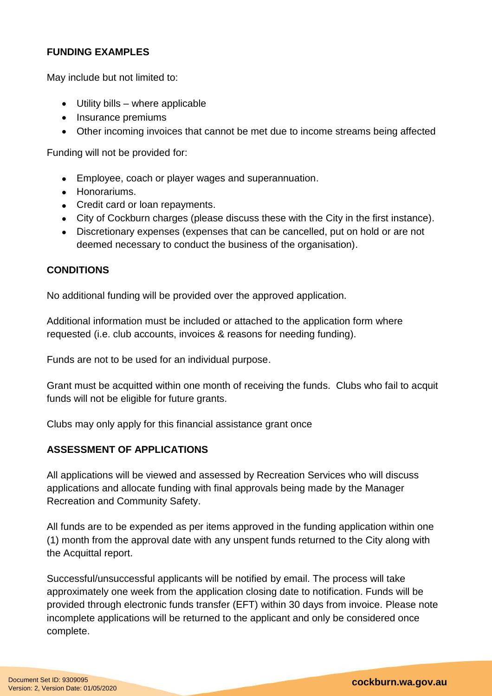## **FUNDING EXAMPLES**

May include but not limited to:

- Utility bills where applicable
- Insurance premiums
- Other incoming invoices that cannot be met due to income streams being affected

Funding will not be provided for:

- Employee, coach or player wages and superannuation.
- Honorariums.
- Credit card or loan repayments.
- City of Cockburn charges (please discuss these with the City in the first instance).
- Discretionary expenses (expenses that can be cancelled, put on hold or are not deemed necessary to conduct the business of the organisation).

#### **CONDITIONS**

No additional funding will be provided over the approved application.

Additional information must be included or attached to the application form where requested (i.e. club accounts, invoices & reasons for needing funding).

Funds are not to be used for an individual purpose.

Grant must be acquitted within one month of receiving the funds. Clubs who fail to acquit funds will not be eligible for future grants.

Clubs may only apply for this financial assistance grant once

#### **ASSESSMENT OF APPLICATIONS**

All applications will be viewed and assessed by Recreation Services who will discuss applications and allocate funding with final approvals being made by the Manager Recreation and Community Safety.

All funds are to be expended as per items approved in the funding application within one (1) month from the approval date with any unspent funds returned to the City along with the Acquittal report.

Successful/unsuccessful applicants will be notified by email. The process will take approximately one week from the application closing date to notification. Funds will be provided through electronic funds transfer (EFT) within 30 days from invoice. Please note incomplete applications will be returned to the applicant and only be considered once complete.